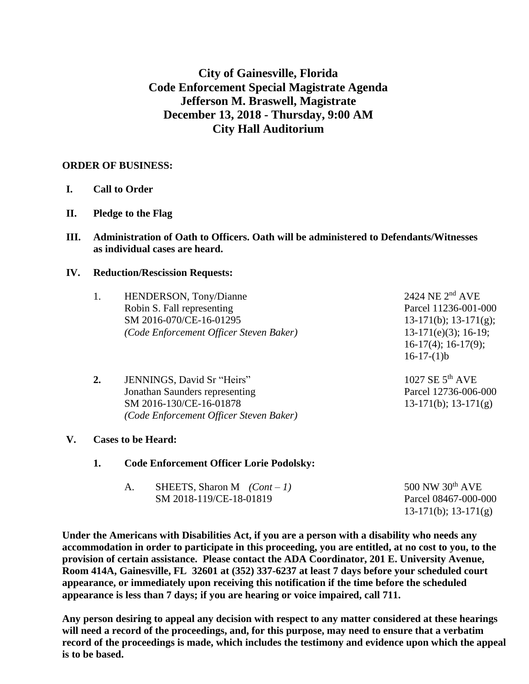# **City of Gainesville, Florida Code Enforcement Special Magistrate Agenda Jefferson M. Braswell, Magistrate December 13, 2018 - Thursday, 9:00 AM City Hall Auditorium**

# **ORDER OF BUSINESS:**

- **I. Call to Order**
- **II. Pledge to the Flag**
- **III. Administration of Oath to Officers. Oath will be administered to Defendants/Witnesses as individual cases are heard.**

## **IV. Reduction/Rescission Requests:**

| 1.               | HENDERSON, Tony/Dianne<br>Robin S. Fall representing<br>SM 2016-070/CE-16-01295<br>(Code Enforcement Officer Steven Baker)         | 2424 NE $2nd$ AVE<br>Parcel 11236-001-000<br>$13-171(b)$ ; $13-171(g)$ ;<br>$13-171(e)(3)$ ; 16-19;<br>$16-17(4)$ ; $16-17(9)$ ;<br>$16-17-(1)b$ |
|------------------|------------------------------------------------------------------------------------------------------------------------------------|--------------------------------------------------------------------------------------------------------------------------------------------------|
| $\overline{2}$ . | JENNINGS, David Sr "Heirs"<br>Jonathan Saunders representing<br>SM 2016-130/CE-16-01878<br>(Code Enforcement Officer Steven Baker) | 1027 SE $5^{th}$ AVE<br>Parcel 12736-006-000<br>$13-171(b)$ ; $13-171(g)$                                                                        |

- **V. Cases to be Heard:**
	- **1. Code Enforcement Officer Lorie Podolsky:**

| SHEETS, Sharon M $(Cont - 1)$ | 500 NW $30th$ AVE    |
|-------------------------------|----------------------|
| SM 2018-119/CE-18-01819       | Parcel 08467-000-000 |
|                               | 13-171(b); 13-171(g) |

**Under the Americans with Disabilities Act, if you are a person with a disability who needs any accommodation in order to participate in this proceeding, you are entitled, at no cost to you, to the provision of certain assistance. Please contact the ADA Coordinator, 201 E. University Avenue, Room 414A, Gainesville, FL 32601 at (352) 337-6237 at least 7 days before your scheduled court appearance, or immediately upon receiving this notification if the time before the scheduled appearance is less than 7 days; if you are hearing or voice impaired, call 711.**

**Any person desiring to appeal any decision with respect to any matter considered at these hearings will need a record of the proceedings, and, for this purpose, may need to ensure that a verbatim record of the proceedings is made, which includes the testimony and evidence upon which the appeal is to be based.**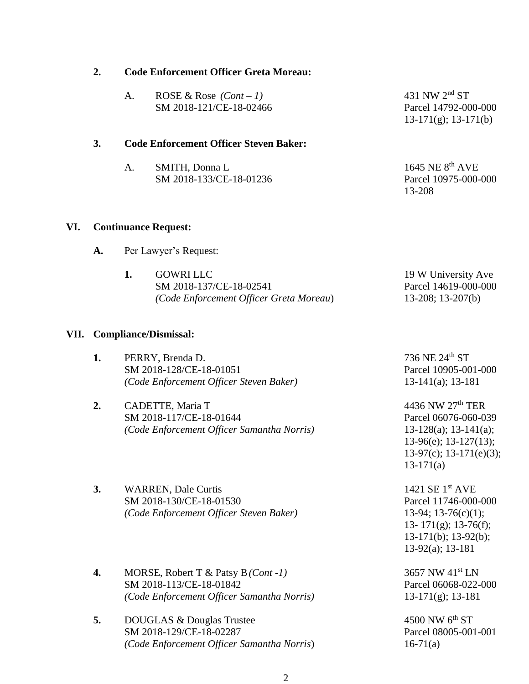|      |                              | SM 2018-133/CE-18-01236                                                                          | Parcel 10975-000-000<br>13-208                                                                                                            |  |
|------|------------------------------|--------------------------------------------------------------------------------------------------|-------------------------------------------------------------------------------------------------------------------------------------------|--|
| VI.  |                              | <b>Continuance Request:</b>                                                                      |                                                                                                                                           |  |
|      | A.                           | Per Lawyer's Request:                                                                            |                                                                                                                                           |  |
|      |                              | 1.<br><b>GOWRI LLC</b><br>SM 2018-137/CE-18-02541<br>(Code Enforcement Officer Greta Moreau)     | 19 W University Ave<br>Parcel 14619-000-000<br>$13-208$ ; $13-207(b)$                                                                     |  |
| VII. | <b>Compliance/Dismissal:</b> |                                                                                                  |                                                                                                                                           |  |
|      | 1.                           | PERRY, Brenda D.<br>SM 2018-128/CE-18-01051<br>(Code Enforcement Officer Steven Baker)           | 736 NE 24th ST<br>Parcel 10905-001-000<br>$13-141(a); 13-181$                                                                             |  |
|      | 2.                           | CADETTE, Maria T<br>SM 2018-117/CE-18-01644<br>(Code Enforcement Officer Samantha Norris)        | 4436 NW 27th TER<br>Parcel 06076-060-039<br>$13-128(a); 13-141(a);$<br>13-96(e); 13-127(13);<br>$13-97(c)$ ; 13-171(e)(3);<br>$13-171(a)$ |  |
|      | 3.                           | <b>WARREN, Dale Curtis</b><br>SM 2018-130/CE-18-01530<br>(Code Enforcement Officer Steven Baker) | 1421 SE 1 <sup>st</sup> AVE<br>Parcel 11746-000-000<br>13-94; 13-76(c)(1);                                                                |  |

- **4.** MORSE, Robert T & Patsy B*(Cont -1)* 3657 NW 41st LN SM 2018-113/CE-18-01842 Parcel 06068-022-000 *(Code Enforcement Officer Samantha Norris)* 13-171(g); 13-181
- **5.** DOUGLAS & Douglas Trustee 4500 NW 6<sup>th</sup> ST SM 2018-129/CE-18-02287 Parcel 08005-001-001 *(Code Enforcement Officer Samantha Norris*) 16-71(a)

13- 171(g); 13-76(f); 13-171(b); 13-92(b); 13-92(a); 13-181

13-171(g); 13-171(b)

- **2. Code Enforcement Officer Greta Moreau:**
	- A. ROSE & Rose *(Cont – 1)* 431 NW 2nd ST SM 2018-121/CE-18-02466 Parcel 14792-000-000

#### **3. Code Enforcement Officer Steven Baker:**

| SMITH, Donna L          | 1645 NE $8th$ AVE    |
|-------------------------|----------------------|
| SM 2018-133/CE-18-01236 | Parcel 10975-000-000 |
|                         | 12.00                |